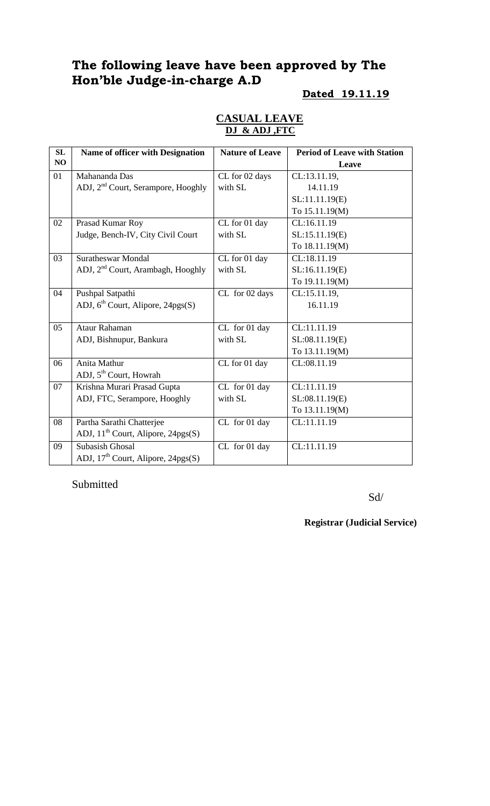# **The following leave have been approved by The Hon'ble Judge-in-charge A.D**

### **Dated 19.11.19**

### **CASUAL LEAVE DJ & ADJ ,FTC**

| SL | Name of officer with Designation               | <b>Nature of Leave</b> | <b>Period of Leave with Station</b> |
|----|------------------------------------------------|------------------------|-------------------------------------|
| NO |                                                |                        | Leave                               |
| 01 | Mahananda Das                                  | CL for 02 days         | CL:13.11.19,                        |
|    | ADJ, 2 <sup>nd</sup> Court, Serampore, Hooghly | with SL                | 14.11.19                            |
|    |                                                |                        | SL:11.11.19(E)                      |
|    |                                                |                        | To 15.11.19(M)                      |
| 02 | Prasad Kumar Roy                               | CL for 01 day          | CL:16.11.19                         |
|    | Judge, Bench-IV, City Civil Court              | with SL                | SL:15.11.19(E)                      |
|    |                                                |                        | To 18.11.19(M)                      |
| 03 | <b>Suratheswar Mondal</b>                      | CL for 01 day          | CL:18.11.19                         |
|    | ADJ, 2 <sup>nd</sup> Court, Arambagh, Hooghly  | with SL                | SL:16.11.19(E)                      |
|    |                                                |                        | To 19.11.19(M)                      |
| 04 | Pushpal Satpathi                               | CL for 02 days         | CL:15.11.19,                        |
|    | ADJ, $6^{\text{th}}$ Court, Alipore, 24pgs(S)  |                        | 16.11.19                            |
|    |                                                |                        |                                     |
| 05 | Ataur Rahaman                                  | CL for 01 day          | CL:11.11.19                         |
|    | ADJ, Bishnupur, Bankura                        | with SL                | SL:08.11.19(E)                      |
|    |                                                |                        | To 13.11.19(M)                      |
| 06 | Anita Mathur                                   | CL for 01 day          | CL:08.11.19                         |
|    | ADJ, 5 <sup>th</sup> Court, Howrah             |                        |                                     |
| 07 | Krishna Murari Prasad Gupta                    | CL for 01 day          | CL:11.11.19                         |
|    | ADJ, FTC, Serampore, Hooghly                   | with SL                | SL:08.11.19(E)                      |
|    |                                                |                        | To 13.11.19(M)                      |
| 08 | Partha Sarathi Chatterjee                      | CL for 01 day          | CL:11.11.19                         |
|    | ADJ, $11^{th}$ Court, Alipore, $24pgs(S)$      |                        |                                     |
| 09 | <b>Subasish Ghosal</b>                         | CL for 01 day          | CL:11.11.19                         |
|    | ADJ, $17th$ Court, Alipore, $24pgs(S)$         |                        |                                     |

Submitted

Sd/

**Registrar (Judicial Service)**